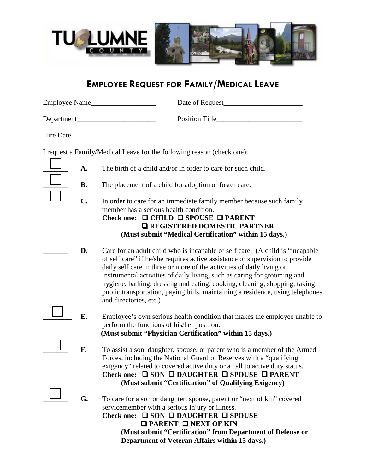

## **EMPLOYEE REQUEST FOR FAMILY/MEDICAL LEAVE**

|           | Date of Request                                                                                                                                                                                                                                                                                                                                                                                                                                                                                               |
|-----------|---------------------------------------------------------------------------------------------------------------------------------------------------------------------------------------------------------------------------------------------------------------------------------------------------------------------------------------------------------------------------------------------------------------------------------------------------------------------------------------------------------------|
|           |                                                                                                                                                                                                                                                                                                                                                                                                                                                                                                               |
| Hire Date |                                                                                                                                                                                                                                                                                                                                                                                                                                                                                                               |
|           | I request a Family/Medical Leave for the following reason (check one):                                                                                                                                                                                                                                                                                                                                                                                                                                        |
| A.        | The birth of a child and/or in order to care for such child.                                                                                                                                                                                                                                                                                                                                                                                                                                                  |
| <b>B.</b> | The placement of a child for adoption or foster care.                                                                                                                                                                                                                                                                                                                                                                                                                                                         |
| C.        | In order to care for an immediate family member because such family<br>member has a serious health condition.<br>Check one: $\Box$ CHILD $\Box$ SPOUSE $\Box$ PARENT<br><b>Q REGISTERED DOMESTIC PARTNER</b><br>(Must submit "Medical Certification" within 15 days.)                                                                                                                                                                                                                                         |
| D.        | Care for an adult child who is incapable of self care. (A child is "incapable"<br>of self care" if he/she requires active assistance or supervision to provide<br>daily self care in three or more of the activities of daily living or<br>instrumental activities of daily living, such as caring for grooming and<br>hygiene, bathing, dressing and eating, cooking, cleaning, shopping, taking<br>public transportation, paying bills, maintaining a residence, using telephones<br>and directories, etc.) |
| E.        | Employee's own serious health condition that makes the employee unable to<br>perform the functions of his/her position.<br>(Must submit "Physician Certification" within 15 days.)                                                                                                                                                                                                                                                                                                                            |
| F.        | To assist a son, daughter, spouse, or parent who is a member of the Armed<br>Forces, including the National Guard or Reserves with a "qualifying"<br>exigency" related to covered active duty or a call to active duty status.<br>Check one: $\Box$ SON $\Box$ DAUGHTER $\Box$ SPOUSE $\Box$ PARENT<br>(Must submit "Certification" of Qualifying Exigency)                                                                                                                                                   |
| G.        | To care for a son or daughter, spouse, parent or "next of kin" covered<br>servicemember with a serious injury or illness.<br>Check one: $\Box$ SON $\Box$ DAUGHTER $\Box$ SPOUSE<br>$\Box$ PARENT $\Box$ NEXT OF KIN<br>(Must submit "Certification" from Department of Defense or                                                                                                                                                                                                                            |

**Department of Veteran Affairs within 15 days.)**